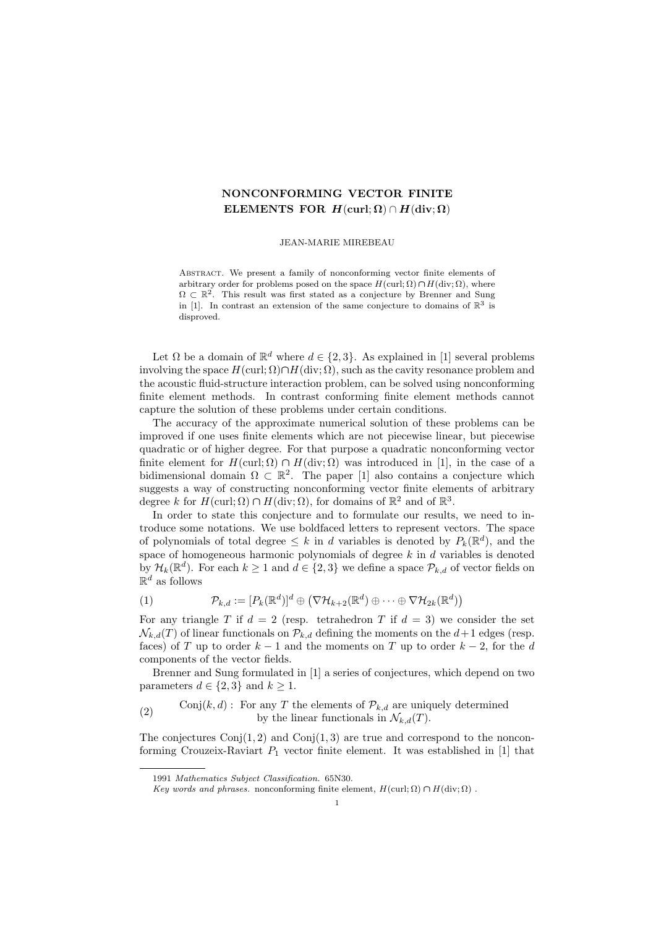# NONCONFORMING VECTOR FINITE ELEMENTS FOR  $H(\text{curl}; \Omega) \cap H(\text{div}; \Omega)$

JEAN-MARIE MIREBEAU

Abstract. We present a family of nonconforming vector finite elements of arbitrary order for problems posed on the space  $H(\text{curl}; \Omega) \cap H(\text{div}; \Omega)$ , where  $\Omega \subset \mathbb{R}^2$ . This result was first stated as a conjecture by Brenner and Sung in [1]. In contrast an extension of the same conjecture to domains of  $\mathbb{R}^3$  is disproved.

Let  $\Omega$  be a domain of  $\mathbb{R}^d$  where  $d \in \{2,3\}$ . As explained in [1] several problems involving the space  $H(\text{curl}; \Omega) \cap H(\text{div}; \Omega)$ , such as the cavity resonance problem and the acoustic fluid-structure interaction problem, can be solved using nonconforming finite element methods. In contrast conforming finite element methods cannot capture the solution of these problems under certain conditions.

The accuracy of the approximate numerical solution of these problems can be improved if one uses finite elements which are not piecewise linear, but piecewise quadratic or of higher degree. For that purpose a quadratic nonconforming vector finite element for  $H(\text{curl};\Omega) \cap H(\text{div};\Omega)$  was introduced in [1], in the case of a bidimensional domain  $\Omega \subset \mathbb{R}^2$ . The paper [1] also contains a conjecture which suggests a way of constructing nonconforming vector finite elements of arbitrary degree k for  $H(\text{curl}; \Omega) \cap H(\text{div}; \Omega)$ , for domains of  $\mathbb{R}^2$  and of  $\mathbb{R}^3$ .

In order to state this conjecture and to formulate our results, we need to introduce some notations. We use boldfaced letters to represent vectors. The space of polynomials of total degree  $\leq k$  in d variables is denoted by  $P_k(\mathbb{R}^d)$ , and the space of homogeneous harmonic polynomials of degree  $k$  in  $d$  variables is denoted by  $\mathcal{H}_k(\mathbb{R}^d)$ . For each  $k \geq 1$  and  $d \in \{2,3\}$  we define a space  $\mathcal{P}_{k,d}$  of vector fields on  $\mathbb{R}^d$  as follows

(1) 
$$
\mathcal{P}_{k,d} := [P_k(\mathbb{R}^d)]^d \oplus (\nabla \mathcal{H}_{k+2}(\mathbb{R}^d) \oplus \cdots \oplus \nabla \mathcal{H}_{2k}(\mathbb{R}^d))
$$

For any triangle T if  $d = 2$  (resp. tetrahedron T if  $d = 3$ ) we consider the set  $\mathcal{N}_{k,d}(T)$  of linear functionals on  $\mathcal{P}_{k,d}$  defining the moments on the  $d+1$  edges (resp. faces) of T up to order  $k-1$  and the moments on T up to order  $k-2$ , for the d components of the vector fields.

Brenner and Sung formulated in [1] a series of conjectures, which depend on two parameters  $d \in \{2,3\}$  and  $k \geq 1$ .

(2) Conj $(k, d)$ : For any T the elements of  $\mathcal{P}_{k, d}$  are uniquely determined by the linear functionals in  $\mathcal{N}_{k,d}(T)$ .

The conjectures  $Conj(1, 2)$  and  $Conj(1, 3)$  are true and correspond to the nonconforming Crouzeix-Raviart  $P_1$  vector finite element. It was established in [1] that

<sup>1991</sup> Mathematics Subject Classification. 65N30.

Key words and phrases. nonconforming finite element,  $H(\text{curl}; \Omega) \cap H(\text{div}; \Omega)$ .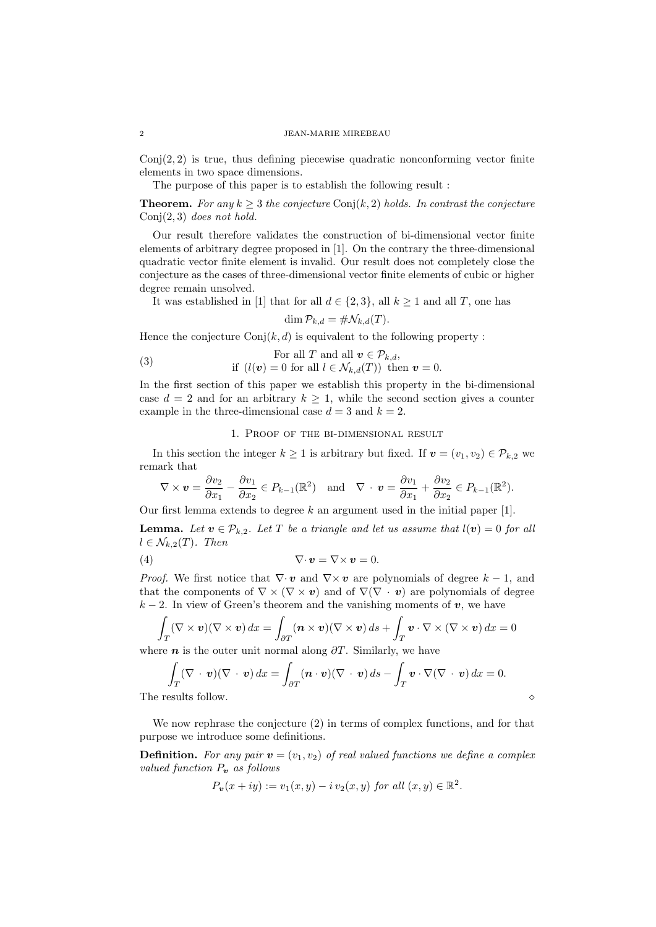### 2 JEAN-MARIE MIREBEAU

 $Conj(2, 2)$  is true, thus defining piecewise quadratic nonconforming vector finite elements in two space dimensions.

The purpose of this paper is to establish the following result :

**Theorem.** For any  $k \geq 3$  the conjecture Conj(k, 2) holds. In contrast the conjecture Conj $(2, 3)$  does not hold.

Our result therefore validates the construction of bi-dimensional vector finite elements of arbitrary degree proposed in [1]. On the contrary the three-dimensional quadratic vector finite element is invalid. Our result does not completely close the conjecture as the cases of three-dimensional vector finite elements of cubic or higher degree remain unsolved.

It was established in [1] that for all  $d \in \{2,3\}$ , all  $k \ge 1$  and all T, one has

$$
\dim \mathcal{P}_{k,d} = \# \mathcal{N}_{k,d}(T).
$$

Hence the conjecture  $Conj(k, d)$  is equivalent to the following property :

(3) For all 
$$
T
$$
 and all  $\mathbf{v} \in \mathcal{P}_{k,d}$ ,  
if  $(l(\mathbf{v}) = 0$  for all  $l \in \mathcal{N}_{k,d}(T)$ ) then  $\mathbf{v} = 0$ .

In the first section of this paper we establish this property in the bi-dimensional case  $d = 2$  and for an arbitrary  $k \ge 1$ , while the second section gives a counter example in the three-dimensional case  $d = 3$  and  $k = 2$ .

## 1. Proof of the bi-dimensional result

In this section the integer  $k \geq 1$  is arbitrary but fixed. If  $\mathbf{v} = (v_1, v_2) \in \mathcal{P}_{k,2}$  we remark that

$$
\nabla \times \mathbf{v} = \frac{\partial v_2}{\partial x_1} - \frac{\partial v_1}{\partial x_2} \in P_{k-1}(\mathbb{R}^2) \text{ and } \nabla \cdot \mathbf{v} = \frac{\partial v_1}{\partial x_1} + \frac{\partial v_2}{\partial x_2} \in P_{k-1}(\mathbb{R}^2).
$$

Our first lemma extends to degree  $k$  an argument used in the initial paper [1].

**Lemma.** Let  $v \in \mathcal{P}_{k,2}$ . Let T be a triangle and let us assume that  $l(v) = 0$  for all  $l \in \mathcal{N}_{k,2}(T)$ . Then

$$
\nabla \cdot \mathbf{v} = \nabla \times \mathbf{v} = 0.
$$

*Proof.* We first notice that  $\nabla \cdot \mathbf{v}$  and  $\nabla \times \mathbf{v}$  are polynomials of degree  $k-1$ , and that the components of  $\nabla \times (\nabla \times v)$  and of  $\nabla(\nabla \cdot v)$  are polynomials of degree  $k-2$ . In view of Green's theorem and the vanishing moments of  $v$ , we have

$$
\int_T (\nabla \times \mathbf{v})(\nabla \times \mathbf{v}) dx = \int_{\partial T} (\mathbf{n} \times \mathbf{v})(\nabla \times \mathbf{v}) ds + \int_T \mathbf{v} \cdot \nabla \times (\nabla \times \mathbf{v}) dx = 0
$$

where  $n$  is the outer unit normal along  $\partial T$ . Similarly, we have

$$
\int_{T} (\nabla \cdot \mathbf{v})(\nabla \cdot \mathbf{v}) dx = \int_{\partial T} (\mathbf{n} \cdot \mathbf{v})(\nabla \cdot \mathbf{v}) ds - \int_{T} \mathbf{v} \cdot \nabla (\nabla \cdot \mathbf{v}) dx = 0.
$$
\nThe results follow.

We now rephrase the conjecture (2) in terms of complex functions, and for that purpose we introduce some definitions.

**Definition.** For any pair  $\mathbf{v} = (v_1, v_2)$  of real valued functions we define a complex valued function  $P_v$  as follows

$$
P_{\bm{v}}(x+iy) := v_1(x,y) - i v_2(x,y) \text{ for all } (x,y) \in \mathbb{R}^2.
$$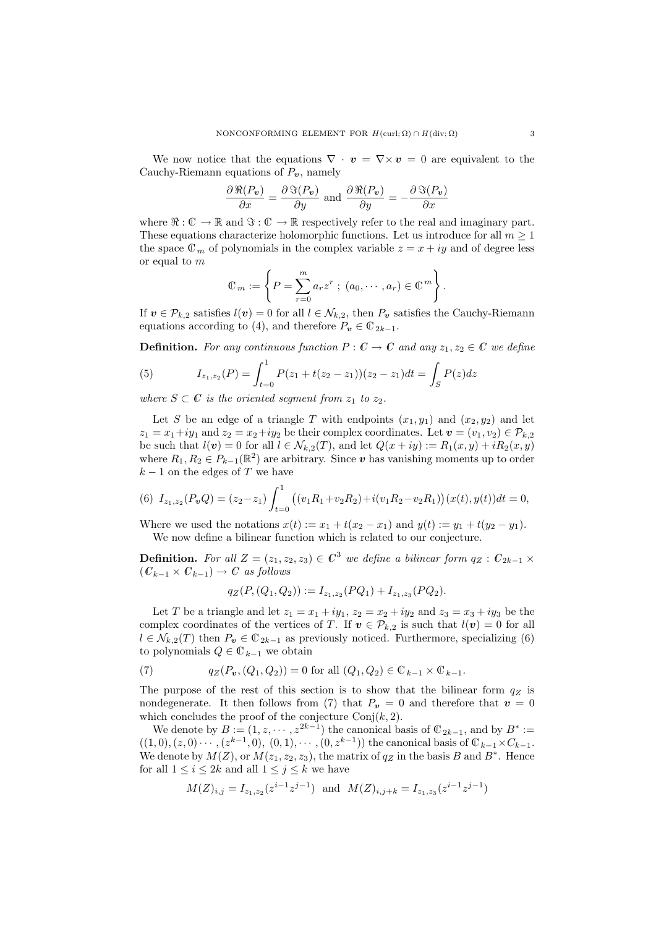We now notice that the equations  $\nabla \cdot \mathbf{v} = \nabla \times \mathbf{v} = 0$  are equivalent to the Cauchy-Riemann equations of  $P_v$ , namely

$$
\frac{\partial \Re(P_v)}{\partial x} = \frac{\partial \Im(P_v)}{\partial y} \text{ and } \frac{\partial \Re(P_v)}{\partial y} = -\frac{\partial \Im(P_v)}{\partial x}
$$

where  $\Re: \mathbb{C} \to \mathbb{R}$  and  $\Im: \mathbb{C} \to \mathbb{R}$  respectively refer to the real and imaginary part. These equations characterize holomorphic functions. Let us introduce for all  $m \geq 1$ the space  $\mathbb{C}_m$  of polynomials in the complex variable  $z = x + iy$  and of degree less or equal to m

$$
\mathbb{C}_m := \left\{ P = \sum_{r=0}^m a_r z^r ; (a_0, \dots, a_r) \in \mathbb{C}^m \right\}.
$$

If  $v \in \mathcal{P}_{k,2}$  satisfies  $l(v) = 0$  for all  $l \in \mathcal{N}_{k,2}$ , then  $P_v$  satisfies the Cauchy-Riemann equations according to (4), and therefore  $P_v \in \mathbb{C}_{2k-1}$ .

**Definition.** For any continuous function  $P: C \to C$  and any  $z_1, z_2 \in C$  we define

(5) 
$$
I_{z_1,z_2}(P) = \int_{t=0}^1 P(z_1 + t(z_2 - z_1))(z_2 - z_1)dt = \int_S P(z)dz
$$

where  $S \subset \mathbb{C}$  is the oriented segment from  $z_1$  to  $z_2$ .

Let S be an edge of a triangle T with endpoints  $(x_1, y_1)$  and  $(x_2, y_2)$  and let  $z_1 = x_1 + iy_1$  and  $z_2 = x_2 + iy_2$  be their complex coordinates. Let  $\mathbf{v} = (v_1, v_2) \in \mathcal{P}_{k,2}$ be such that  $l(\boldsymbol{v}) = 0$  for all  $l \in \mathcal{N}_{k,2}(T)$ , and let  $Q(x + iy) := R_1(x, y) + iR_2(x, y)$ where  $R_1, R_2 \in P_{k-1}(\mathbb{R}^2)$  are arbitrary. Since v has vanishing moments up to order  $k-1$  on the edges of T we have

(6) 
$$
I_{z_1,z_2}(P_vQ) = (z_2 - z_1) \int_{t=0}^1 ((v_1R_1 + v_2R_2) + i(v_1R_2 - v_2R_1))(x(t), y(t))dt = 0,
$$

Where we used the notations  $x(t) := x_1 + t(x_2 - x_1)$  and  $y(t) := y_1 + t(y_2 - y_1)$ . We now define a bilinear function which is related to our conjecture.

**Definition.** For all  $Z = (z_1, z_2, z_3) \in \mathbb{C}^3$  we define a bilinear form  $q_Z : \mathbb{C}_{2k-1} \times$  $(C_{k-1} \times C_{k-1}) \rightarrow C$  as follows

$$
q_Z(P, (Q_1, Q_2)) := I_{z_1, z_2}(PQ_1) + I_{z_1, z_3}(PQ_2).
$$

Let T be a triangle and let  $z_1 = x_1 + iy_1$ ,  $z_2 = x_2 + iy_2$  and  $z_3 = x_3 + iy_3$  be the complex coordinates of the vertices of T. If  $v \in \mathcal{P}_{k,2}$  is such that  $l(v) = 0$  for all  $l \in \mathcal{N}_{k,2}(T)$  then  $P_v \in \mathbb{C}_{2k-1}$  as previously noticed. Furthermore, specializing (6) to polynomials  $Q \in \mathbb{C}_{k-1}$  we obtain

(7) 
$$
q_Z(P_v, (Q_1, Q_2)) = 0 \text{ for all } (Q_1, Q_2) \in \mathbb{C}_{k-1} \times \mathbb{C}_{k-1}.
$$

The purpose of the rest of this section is to show that the bilinear form  $q_Z$  is nondegenerate. It then follows from (7) that  $P_v = 0$  and therefore that  $v = 0$ which concludes the proof of the conjecture  $Conj(k, 2)$ .

We denote by  $B := (1, z, \dots, z^{2k-1})$  the canonical basis of  $\mathbb{C}_{2k-1}$ , and by  $B^* :=$  $((1,0),(z,0)\cdots,(z^{k-1},0), (0,1),\cdots,(0,z^{k-1}))$  the canonical basis of  $\mathbb{C}_{k-1}\times C_{k-1}$ . We denote by  $M(Z)$ , or  $M(z_1, z_2, z_3)$ , the matrix of  $q_Z$  in the basis B and  $B^*$ . Hence for all  $1 \leq i \leq 2k$  and all  $1 \leq j \leq k$  we have

$$
M(Z)_{i,j} = I_{z_1, z_2}(z^{i-1}z^{j-1}) \text{ and } M(Z)_{i,j+k} = I_{z_1, z_3}(z^{i-1}z^{j-1})
$$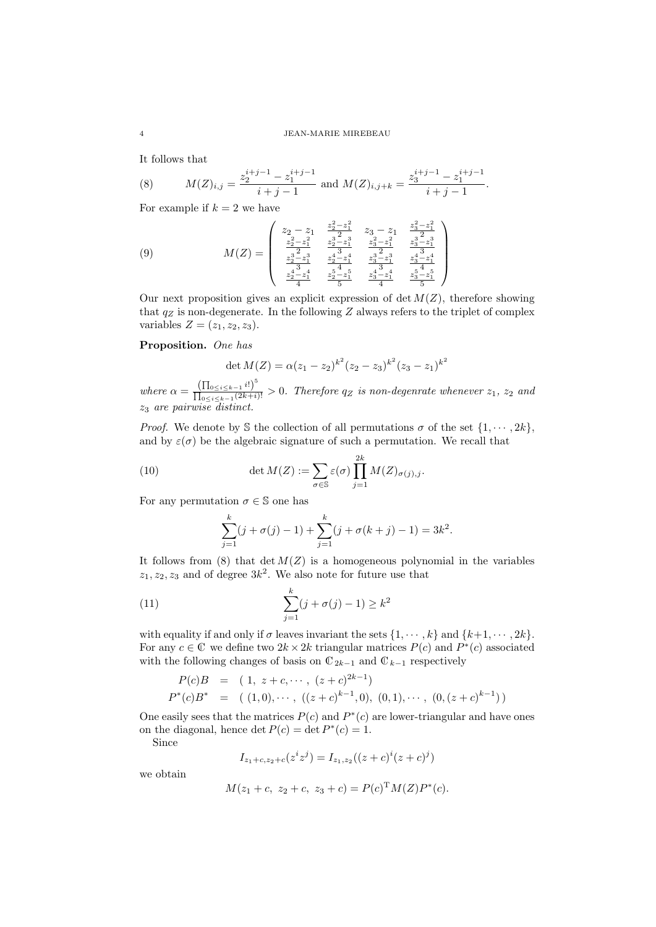It follows that

(8) 
$$
M(Z)_{i,j} = \frac{z_2^{i+j-1} - z_1^{i+j-1}}{i+j-1}
$$
 and 
$$
M(Z)_{i,j+k} = \frac{z_3^{i+j-1} - z_1^{i+j-1}}{i+j-1}.
$$

For example if  $k = 2$  we have

(9) 
$$
M(Z) = \begin{pmatrix} z_2 - z_1 & \frac{z_2^2 - z_1^2}{2} & z_3 - z_1 & \frac{z_3^2 - z_1^2}{2} \\ \frac{z_2^2 - z_1^2}{2} & \frac{z_2^3 - z_1^3}{2} & \frac{z_3^2 - z_1^2}{2} & \frac{z_3^3 - z_1^3}{2} \\ \frac{z_2^3 - z_1^3}{2} & \frac{z_2^4 - z_1^4}{2} & \frac{z_3^3 - z_1^3}{2} & \frac{z_3^4 - z_1^4}{2} \\ \frac{z_2^4 - z_1^4}{4} & \frac{z_2^5 - z_1^5}{5} & \frac{z_3^4 - z_1^4}{4} & \frac{z_3^5 - z_1^5}{5} \end{pmatrix}
$$

Our next proposition gives an explicit expression of det  $M(Z)$ , therefore showing that  $q_Z$  is non-degenerate. In the following Z always refers to the triplet of complex variables  $Z = (z_1, z_2, z_3)$ .

# Proposition. One has

$$
\det M(Z) = \alpha (z_1 - z_2)^{k^2} (z_2 - z_3)^{k^2} (z_3 - z_1)^{k^2}
$$

where  $\alpha = \frac{\left(\prod_{0 \leq i \leq k-1} i!\right)^5}{\prod_{i \geq k} i!}$  $\frac{\prod_{0 \leq i \leq k-1}^{(1)}(z_{k+i})!}{\prod_{0 \leq i \leq k-1}^{(2k+i)!}} > 0$ . Therefore q<sub>Z</sub> is non-degenrate whenever  $z_1$ ,  $z_2$  and z<sup>3</sup> are pairwise distinct.

*Proof.* We denote by S the collection of all permutations  $\sigma$  of the set  $\{1, \dots, 2k\}$ , and by  $\varepsilon(\sigma)$  be the algebraic signature of such a permutation. We recall that

(10) 
$$
\det M(Z) := \sum_{\sigma \in \mathbb{S}} \varepsilon(\sigma) \prod_{j=1}^{2k} M(Z)_{\sigma(j),j}.
$$

For any permutation  $\sigma \in \mathbb{S}$  one has

$$
\sum_{j=1}^{k} (j + \sigma(j) - 1) + \sum_{j=1}^{k} (j + \sigma(k + j) - 1) = 3k^{2}.
$$

It follows from (8) that  $\det M(Z)$  is a homogeneous polynomial in the variables  $z_1, z_2, z_3$  and of degree  $3k^2$ . We also note for future use that

(11) 
$$
\sum_{j=1}^{k} (j + \sigma(j) - 1) \ge k^2
$$

with equality if and only if  $\sigma$  leaves invariant the sets  $\{1, \dots, k\}$  and  $\{k+1, \dots, 2k\}$ . For any  $c \in \mathbb{C}$  we define two  $2k \times 2k$  triangular matrices  $P(c)$  and  $P^*(c)$  associated with the following changes of basis on  $\mathbb{C}_{2k-1}$  and  $\mathbb{C}_{k-1}$  respectively

$$
P(c)B = (1, z + c, \cdots, (z + c)^{2k-1})
$$
  

$$
P^*(c)B^* = (1, 0), \cdots, ((z + c)^{k-1}, 0), (0, 1), \cdots, (0, (z + c)^{k-1}))
$$

One easily sees that the matrices  $P(c)$  and  $P^*(c)$  are lower-triangular and have ones on the diagonal, hence det  $P(c) = \det P^*(c) = 1$ .

Since

$$
I_{z_1+c, z_2+c}(z^iz^j) = I_{z_1, z_2}((z+c)^i(z+c)^j)
$$

we obtain

$$
M(z_1 + c, z_2 + c, z_3 + c) = P(c)^{\mathrm{T}} M(Z) P^*(c).
$$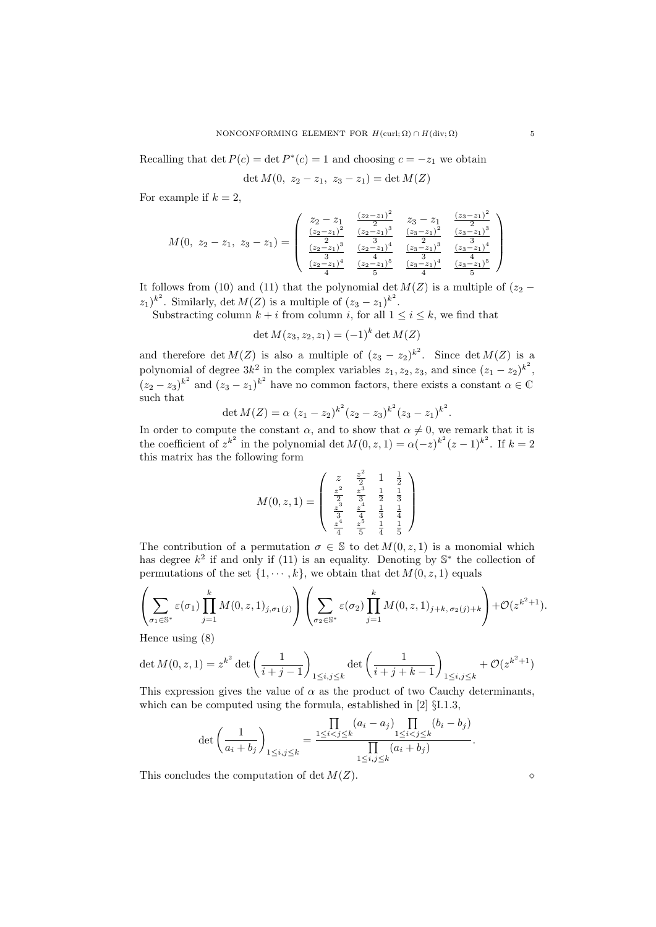Recalling that det  $P(c) = \det P^*(c) = 1$  and choosing  $c = -z_1$  we obtain

$$
\det M(0, z_2 - z_1, z_3 - z_1) = \det M(Z)
$$

For example if  $k = 2$ ,

$$
M(0, z_2 - z_1, z_3 - z_1) = \begin{pmatrix} z_2 - z_1 & \frac{(z_2 - z_1)^2}{2} & z_3 - z_1 & \frac{(z_3 - z_1)^2}{2} \\ \frac{(z_2 - z_1)^2}{2} & \frac{(z_2 - z_1)^3}{3} & \frac{(z_3 - z_1)^2}{2} & \frac{(z_3 - z_1)^3}{3} \\ \frac{(z_2 - z_1)^3}{3} & \frac{(z_2 - z_1)^4}{4} & \frac{(z_3 - z_1)^3}{3} & \frac{(z_3 - z_1)^4}{3} \\ \frac{(z_2 - z_1)^4}{4} & \frac{(z_2 - z_1)^5}{5} & \frac{(z_3 - z_1)^4}{4} & \frac{(z_3 - z_1)^5}{5} \end{pmatrix}
$$

It follows from (10) and (11) that the polynomial det  $M(Z)$  is a multiple of ( $z_2$  −  $(z_1)^{k^2}$ . Similarly, det  $M(Z)$  is a multiple of  $(z_3 - z_1)^{k^2}$ .

Substracting column  $k + i$  from column i, for all  $1 \leq i \leq k$ , we find that

$$
\det M(z_3, z_2, z_1) = (-1)^k \det M(Z)
$$

and therefore  $\det M(Z)$  is also a multiple of  $(z_3 - z_2)^{k^2}$ . Since  $\det M(Z)$  is a polynomial of degree  $3k^2$  in the complex variables  $z_1, z_2, z_3$ , and since  $(z_1 - z_2)^{k^2}$ ,  $(z_2 - z_3)^{k^2}$  and  $(z_3 - z_1)^{k^2}$  have no common factors, there exists a constant  $\alpha \in \mathbb{C}$ such that

$$
\det M(Z) = \alpha (z_1 - z_2)^{k^2} (z_2 - z_3)^{k^2} (z_3 - z_1)^{k^2}.
$$

In order to compute the constant  $\alpha$ , and to show that  $\alpha \neq 0$ , we remark that it is the coefficient of  $z^{k^2}$  in the polynomial det  $M(0, z, 1) = \alpha(-z)^{k^2}(z-1)^{k^2}$ . If  $k = 2$ this matrix has the following form

$$
M(0, z, 1) = \begin{pmatrix} z & \frac{z^2}{2} & 1 & \frac{1}{2} \\ \frac{z^2}{2} & \frac{z^3}{3} & \frac{1}{2} & \frac{1}{3} \\ \frac{z^3}{3} & \frac{z^4}{4} & \frac{1}{3} & \frac{1}{4} \\ \frac{z^4}{4} & \frac{z^5}{5} & \frac{1}{4} & \frac{1}{5} \end{pmatrix}
$$

The contribution of a permutation  $\sigma \in \mathbb{S}$  to det  $M(0, z, 1)$  is a monomial which has degree  $k^2$  if and only if (11) is an equality. Denoting by  $\mathbb{S}^*$  the collection of permutations of the set  $\{1, \dots, k\}$ , we obtain that det  $M(0, z, 1)$  equals

$$
\left(\sum_{\sigma_1 \in \mathbb{S}^*} \varepsilon(\sigma_1) \prod_{j=1}^k M(0, z, 1)_{j, \sigma_1(j)} \right) \left(\sum_{\sigma_2 \in \mathbb{S}^*} \varepsilon(\sigma_2) \prod_{j=1}^k M(0, z, 1)_{j+k, \sigma_2(j)+k} \right) + \mathcal{O}(z^{k^2+1}).
$$

Hence using (8)

$$
\det M(0, z, 1) = z^{k^2} \det \left( \frac{1}{i+j-1} \right)_{1 \le i,j \le k} \det \left( \frac{1}{i+j+k-1} \right)_{1 \le i,j \le k} + \mathcal{O}(z^{k^2+1})
$$

This expression gives the value of  $\alpha$  as the product of two Cauchy determinants, which can be computed using the formula, established in [2] §I.1.3,

$$
\det\left(\frac{1}{a_i + b_j}\right)_{1 \le i,j \le k} = \frac{\prod_{1 \le i < j \le k} (a_i - a_j) \prod_{1 \le i < j \le k} (b_i - b_j)}{\prod_{1 \le i,j \le k} (a_i + b_j)}
$$

This concludes the computation of det  $M(Z)$ .

.